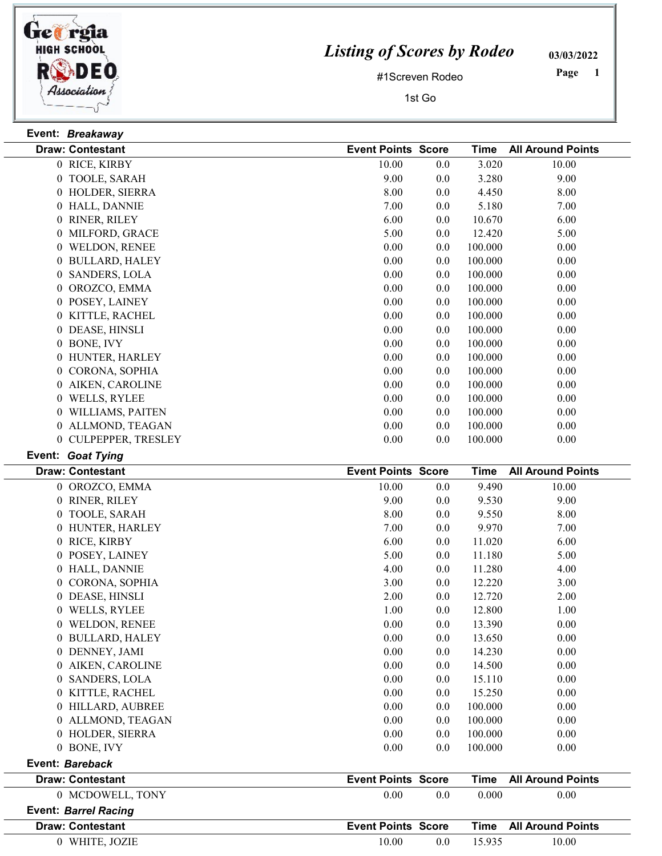

## Listing of Scores by Rodeo

03/03/2022

#1Screven Rodeo

1st Go

 Page

|                | Event: Breakaway        |                           |     |             |                          |
|----------------|-------------------------|---------------------------|-----|-------------|--------------------------|
|                | <b>Draw: Contestant</b> | <b>Event Points Score</b> |     | <b>Time</b> | <b>All Around Points</b> |
|                | 0 RICE, KIRBY           | 10.00                     | 0.0 | 3.020       | 10.00                    |
|                | 0 TOOLE, SARAH          | 9.00                      | 0.0 | 3.280       | 9.00                     |
|                | 0 HOLDER, SIERRA        | 8.00                      | 0.0 | 4.450       | 8.00                     |
|                | 0 HALL, DANNIE          | 7.00                      | 0.0 | 5.180       | 7.00                     |
|                | 0 RINER, RILEY          | 6.00                      | 0.0 | 10.670      | 6.00                     |
|                | 0 MILFORD, GRACE        | 5.00                      | 0.0 | 12.420      | 5.00                     |
|                | 0 WELDON, RENEE         | 0.00                      | 0.0 | 100.000     | 0.00                     |
|                | 0 BULLARD, HALEY        | 0.00                      | 0.0 | 100.000     | 0.00                     |
|                | 0 SANDERS, LOLA         | 0.00                      | 0.0 | 100.000     | 0.00                     |
|                | 0 OROZCO, EMMA          | 0.00                      | 0.0 | 100.000     | 0.00                     |
|                | 0 POSEY, LAINEY         | 0.00                      | 0.0 | 100.000     | 0.00                     |
|                | 0 KITTLE, RACHEL        | 0.00                      | 0.0 | 100.000     | 0.00                     |
|                | 0 DEASE, HINSLI         | 0.00                      | 0.0 | 100.000     | 0.00                     |
|                | 0 BONE, IVY             | 0.00                      | 0.0 | 100.000     | 0.00                     |
|                | 0 HUNTER, HARLEY        | 0.00                      | 0.0 | 100.000     | 0.00                     |
|                | 0 CORONA, SOPHIA        | 0.00                      | 0.0 | 100.000     | 0.00                     |
|                | 0 AIKEN, CAROLINE       | 0.00                      | 0.0 | 100.000     | 0.00                     |
|                | 0 WELLS, RYLEE          | 0.00                      | 0.0 | 100.000     | 0.00                     |
|                | 0 WILLIAMS, PAITEN      | 0.00                      | 0.0 | 100.000     | 0.00                     |
|                | 0 ALLMOND, TEAGAN       | 0.00                      | 0.0 | 100.000     | 0.00                     |
|                | 0 CULPEPPER, TRESLEY    | 0.00                      | 0.0 | 100.000     | 0.00                     |
|                | Event: Goat Tying       |                           |     |             |                          |
|                | <b>Draw: Contestant</b> | <b>Event Points Score</b> |     | <b>Time</b> | <b>All Around Points</b> |
|                | 0 OROZCO, EMMA          | 10.00                     | 0.0 | 9.490       | 10.00                    |
|                | 0 RINER, RILEY          | 9.00                      | 0.0 | 9.530       | 9.00                     |
|                | 0 TOOLE, SARAH          | 8.00                      | 0.0 | 9.550       | 8.00                     |
|                | 0 HUNTER, HARLEY        | 7.00                      | 0.0 | 9.970       | 7.00                     |
|                | 0 RICE, KIRBY           | 6.00                      | 0.0 | 11.020      | 6.00                     |
|                | 0 POSEY, LAINEY         | 5.00                      | 0.0 | 11.180      | 5.00                     |
|                | 0 HALL, DANNIE          | 4.00                      | 0.0 | 11.280      | 4.00                     |
|                | 0 CORONA, SOPHIA        | 3.00                      | 0.0 | 12.220      | 3.00                     |
|                | 0 DEASE, HINSLI         | 2.00                      | 0.0 | 12.720      | 2.00                     |
|                | 0 WELLS, RYLEE          | 1.00                      | 0.0 | 12.800      | 1.00                     |
|                | 0 WELDON, RENEE         | 0.00                      | 0.0 | 13.390      | 0.00                     |
|                | 0 BULLARD, HALEY        | 0.00                      | 0.0 | 13.650      | 0.00                     |
|                | 0 DENNEY, JAMI          | 0.00                      | 0.0 | 14.230      | 0.00                     |
|                | 0 AIKEN, CAROLINE       | 0.00                      | 0.0 | 14.500      | 0.00                     |
| $\overline{0}$ | SANDERS, LOLA           | 0.00                      | 0.0 | 15.110      | 0.00                     |
|                | 0 KITTLE, RACHEL        | 0.00                      | 0.0 | 15.250      | 0.00                     |
|                | 0 HILLARD, AUBREE       | 0.00                      | 0.0 | 100.000     | 0.00                     |
|                | 0 ALLMOND, TEAGAN       | 0.00                      | 0.0 | 100.000     | 0.00                     |

0 HOLDER, SIERRA 0.00 0.00 0.00 0.00 0.00 0.00 BONE, IVY 0.00 0.00 0.0 100.000

Draw: Contestant **Score Time All Around Points** Event Points Score Time All Around Points 0 MCDOWELL, TONY 0.00 0.00 0.00 0.00 0.00 0.00

Event: Bareback

Event: Barrel Racing

| <b>Draw: Contestant</b> | <b>Event Points Score</b> |     |        | <b>Time</b> All Around Points |
|-------------------------|---------------------------|-----|--------|-------------------------------|
| WHITE, JOZIE            | 10.00                     | 0.0 | 15.935 | 10.00                         |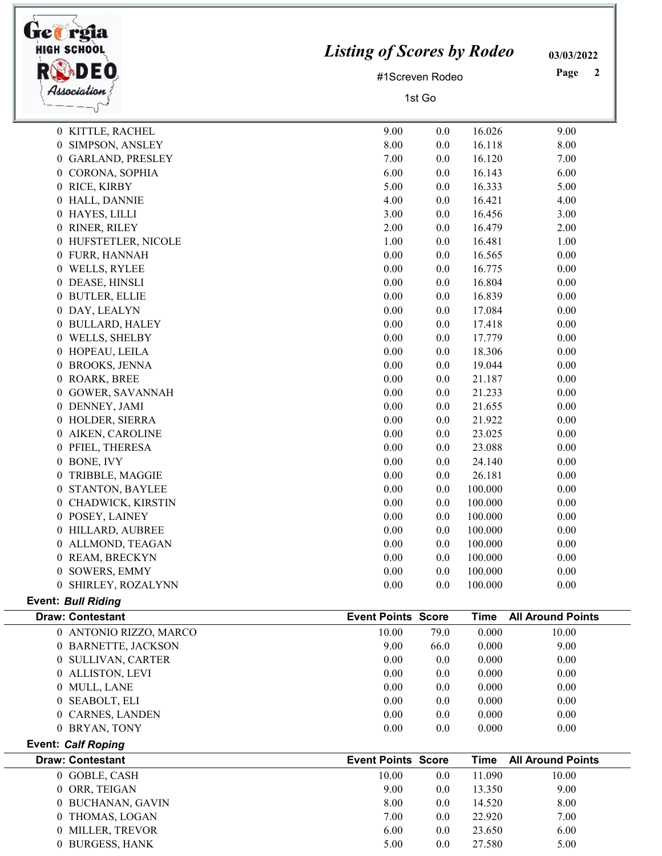| <b>HIGH SCHOOL</b><br>Association   | <b>Listing of Scores by Rodeo</b><br>#1Screven Rodeo<br>1st Go |      |             | 03/03/2022<br>Page<br>$\boldsymbol{2}$ |
|-------------------------------------|----------------------------------------------------------------|------|-------------|----------------------------------------|
| 0 KITTLE, RACHEL                    | 9.00                                                           | 0.0  | 16.026      | 9.00                                   |
| SIMPSON, ANSLEY<br>0                | 8.00                                                           | 0.0  | 16.118      | 8.00                                   |
| <b>GARLAND, PRESLEY</b><br>$\bf{0}$ | 7.00                                                           | 0.0  | 16.120      | 7.00                                   |
| 0 CORONA, SOPHIA                    | 6.00                                                           | 0.0  | 16.143      | 6.00                                   |
| 0 RICE, KIRBY                       | 5.00                                                           | 0.0  | 16.333      | 5.00                                   |
| 0 HALL, DANNIE                      | 4.00                                                           | 0.0  | 16.421      | 4.00                                   |
| 0 HAYES, LILLI                      | 3.00                                                           | 0.0  | 16.456      | 3.00                                   |
| RINER, RILEY<br>0                   | 2.00                                                           | 0.0  | 16.479      | 2.00                                   |
| 0 HUFSTETLER, NICOLE                | 1.00                                                           | 0.0  | 16.481      | 1.00                                   |
| 0 FURR, HANNAH                      | 0.00                                                           | 0.0  | 16.565      | 0.00                                   |
| 0 WELLS, RYLEE                      | 0.00                                                           | 0.0  | 16.775      | 0.00                                   |
| DEASE, HINSLI<br>0                  | 0.00                                                           | 0.0  | 16.804      | 0.00                                   |
| 0 BUTLER, ELLIE                     | 0.00                                                           | 0.0  | 16.839      | 0.00                                   |
| 0 DAY, LEALYN                       | 0.00                                                           | 0.0  | 17.084      | 0.00                                   |
| 0 BULLARD, HALEY                    | 0.00                                                           | 0.0  | 17.418      | 0.00                                   |
| WELLS, SHELBY<br>0                  | 0.00                                                           | 0.0  | 17.779      | 0.00                                   |
| 0 HOPEAU, LEILA                     | 0.00                                                           | 0.0  | 18.306      | 0.00                                   |
| <b>BROOKS, JENNA</b><br>0           | 0.00                                                           | 0.0  | 19.044      | 0.00                                   |
| 0 ROARK, BREE                       | 0.00                                                           | 0.0  | 21.187      | 0.00                                   |
| <b>GOWER, SAVANNAH</b><br>0         | 0.00                                                           | 0.0  | 21.233      | 0.00                                   |
| 0 DENNEY, JAMI                      | 0.00                                                           | 0.0  | 21.655      | 0.00                                   |
| 0 HOLDER, SIERRA                    | 0.00                                                           | 0.0  | 21.922      | 0.00                                   |
| 0 AIKEN, CAROLINE                   | 0.00                                                           | 0.0  | 23.025      | 0.00                                   |
| PFIEL, THERESA<br>0                 | 0.00                                                           | 0.0  | 23.088      | 0.00                                   |
| 0 BONE, IVY                         | 0.00                                                           | 0.0  | 24.140      | 0.00                                   |
| 0<br>TRIBBLE, MAGGIE                | 0.00                                                           | 0.0  | 26.181      | 0.00                                   |
| 0 STANTON, BAYLEE                   | 0.00                                                           | 0.0  | 100.000     | 0.00                                   |
| 0 CHADWICK, KIRSTIN                 | 0.00                                                           | 0.0  | 100.000     | 0.00                                   |
| 0 POSEY, LAINEY                     | 0.00                                                           | 0.0  | 100.000     | 0.00                                   |
| 0 HILLARD, AUBREE                   | 0.00                                                           | 0.0  | 100.000     | 0.00                                   |
| 0 ALLMOND, TEAGAN                   | 0.00                                                           | 0.0  | 100.000     | 0.00                                   |
| 0 REAM, BRECKYN                     | 0.00                                                           | 0.0  | 100.000     | 0.00                                   |
| SOWERS, EMMY<br>0                   | 0.00                                                           | 0.0  | 100.000     | 0.00                                   |
| 0 SHIRLEY, ROZALYNN                 | 0.00                                                           | 0.0  | 100.000     | 0.00                                   |
| <b>Event: Bull Riding</b>           |                                                                |      |             |                                        |
| <b>Draw: Contestant</b>             | <b>Event Points Score</b>                                      |      | <b>Time</b> | <b>All Around Points</b>               |
| 0 ANTONIO RIZZO, MARCO              | 10.00                                                          | 79.0 | 0.000       | 10.00                                  |
| 0 BARNETTE, JACKSON                 | 9.00                                                           | 66.0 | 0.000       | 9.00                                   |
| 0 SULLIVAN, CARTER                  | 0.00                                                           | 0.0  | 0.000       | 0.00                                   |
| 0 ALLISTON, LEVI                    | 0.00                                                           | 0.0  | 0.000       | 0.00                                   |
| 0 MULL, LANE                        | 0.00                                                           | 0.0  | 0.000       | 0.00                                   |
| 0 SEABOLT, ELI                      | 0.00                                                           | 0.0  | 0.000       | 0.00                                   |
| 0 CARNES, LANDEN                    | 0.00                                                           | 0.0  | 0.000       | 0.00                                   |
| 0 BRYAN, TONY                       | 0.00                                                           | 0.0  | 0.000       | 0.00                                   |
| Event: Calf Roping                  |                                                                |      |             |                                        |
|                                     |                                                                |      |             |                                        |

֒.

Draw: Contestant **Score Time All Around Points** Event Points Score Time All Around Points 0 GOBLE, CASH 10.00 0.0 11.090 10.00 0 ORR, TEIGAN 9.00 0.0 13.350 9.00 0 BUCHANAN, GAVIN 8.00 8.00 8.00 8.00 0 THOMAS, LOGAN 7.00 0.0 22.920 7.00 0 MILLER, TREVOR 6.00 6.00 6.00 6.00 6.00 0 BURGESS, HANK 5.00 0.0 27.580 5.00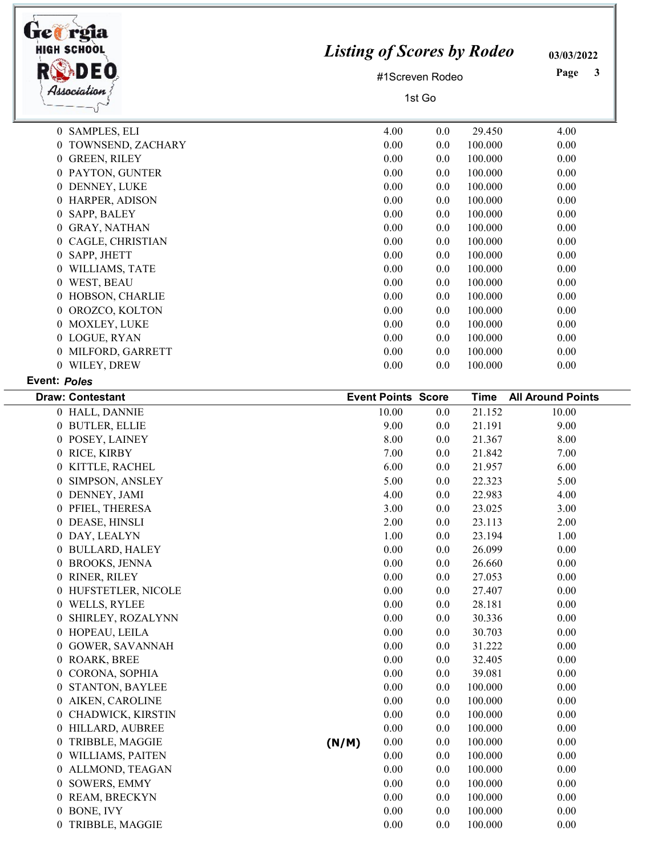| <b>HIGH SCHOOL</b><br>Association | <b>Listing of Scores by Rodeo</b><br>#1Screven Rodeo<br>1st Go | 03/03/2022<br>Page<br>3 |
|-----------------------------------|----------------------------------------------------------------|-------------------------|
| 0 SAMPLES, ELI                    | 4.00<br>0.0<br>29.450                                          | 4.00                    |
| TOWNSEND, ZACHARY<br>0            | 0.00<br>0.0<br>100.000                                         | 0.00                    |
| <b>GREEN, RILEY</b><br>0          | 0.00<br>100.000<br>0.0                                         | 0.00                    |
| 0 PAYTON, GUNTER                  | 0.00<br>100.000<br>0.0                                         | 0.00                    |
| DENNEY, LUKE<br>0                 | 0.00<br>100.000<br>0.0                                         | 0.00                    |
| HARPER, ADISON<br>$\overline{0}$  | 100.000<br>0.00<br>0.0                                         | 0.00                    |
| SAPP, BALEY<br>0                  | 100.000<br>0.00<br>0.0                                         | 0.00                    |
| <b>GRAY, NATHAN</b><br>0          | 0.00<br>100.000<br>0.0                                         | 0.00                    |
| CAGLE, CHRISTIAN<br>0             | 100.000<br>0.00<br>0.0                                         | 0.00                    |
| SAPP, JHETT<br>0                  | 0.00<br>100.000<br>0.0                                         | 0.00                    |
| WILLIAMS, TATE<br>0               | 100.000<br>0.00<br>0.0                                         | 0.00                    |
| WEST, BEAU<br>0                   | 0.00<br>100.000<br>0.0                                         | 0.00                    |
| HOBSON, CHARLIE<br>0              | 100.000<br>0.00<br>0.0                                         | 0.00                    |
| OROZCO, KOLTON<br>0               | 0.00<br>100.000<br>0.0                                         | 0.00                    |
| MOXLEY, LUKE<br>0                 | 100.000<br>0.00<br>0.0                                         | 0.00                    |
| 0 LOGUE, RYAN                     | 0.00<br>100.000<br>0.0                                         | 0.00                    |
| MILFORD, GARRETT<br>0             | 100.000<br>0.00<br>0.0                                         | 0.00                    |
| WILEY, DREW<br>$\overline{0}$     | 0.0<br>100.000<br>0.00                                         | 0.00                    |

## Event: Poles

| <b>Draw: Contestant</b>                  | <b>Event Points Score</b> |     | Time    | <b>All Around Points</b> |
|------------------------------------------|---------------------------|-----|---------|--------------------------|
| 0 HALL, DANNIE                           | 10.00                     | 0.0 | 21.152  | 10.00                    |
| 0 BUTLER, ELLIE                          | 9.00                      | 0.0 | 21.191  | 9.00                     |
| 0 POSEY, LAINEY                          | 8.00                      | 0.0 | 21.367  | 8.00                     |
| 0 RICE, KIRBY                            | 7.00                      | 0.0 | 21.842  | 7.00                     |
| 0 KITTLE, RACHEL                         | 6.00                      | 0.0 | 21.957  | 6.00                     |
| 0 SIMPSON, ANSLEY                        | 5.00                      | 0.0 | 22.323  | 5.00                     |
| 0 DENNEY, JAMI                           | 4.00                      | 0.0 | 22.983  | 4.00                     |
| 0 PFIEL, THERESA                         | 3.00                      | 0.0 | 23.025  | 3.00                     |
| 0 DEASE, HINSLI                          | 2.00                      | 0.0 | 23.113  | 2.00                     |
| 0 DAY, LEALYN                            | 1.00                      | 0.0 | 23.194  | 1.00                     |
| 0 BULLARD, HALEY                         | 0.00                      | 0.0 | 26.099  | 0.00                     |
| 0 BROOKS, JENNA                          | 0.00                      | 0.0 | 26.660  | 0.00                     |
| 0 RINER, RILEY                           | 0.00                      | 0.0 | 27.053  | 0.00                     |
| 0 HUFSTETLER, NICOLE                     | 0.00                      | 0.0 | 27.407  | 0.00                     |
| 0 WELLS, RYLEE                           | 0.00                      | 0.0 | 28.181  | 0.00                     |
| SHIRLEY, ROZALYNN<br>0                   | 0.00                      | 0.0 | 30.336  | 0.00                     |
| 0 HOPEAU, LEILA                          | 0.00                      | 0.0 | 30.703  | 0.00                     |
| 0 GOWER, SAVANNAH                        | 0.00                      | 0.0 | 31.222  | 0.00                     |
| 0 ROARK, BREE                            | 0.00                      | 0.0 | 32.405  | 0.00                     |
| CORONA, SOPHIA<br>0                      | 0.00                      | 0.0 | 39.081  | 0.00                     |
| <b>STANTON, BAYLEE</b><br>$\overline{0}$ | 0.00                      | 0.0 | 100.000 | 0.00                     |
| 0 AIKEN, CAROLINE                        | 0.00                      | 0.0 | 100.000 | 0.00                     |
| 0 CHADWICK, KIRSTIN                      | 0.00                      | 0.0 | 100.000 | 0.00                     |
| 0 HILLARD, AUBREE                        | 0.00                      | 0.0 | 100.000 | 0.00                     |
| TRIBBLE, MAGGIE<br>0                     | 0.00<br>(N/M)             | 0.0 | 100.000 | 0.00                     |
| 0 WILLIAMS, PAITEN                       | 0.00                      | 0.0 | 100.000 | 0.00                     |
| 0 ALLMOND, TEAGAN                        | 0.00                      | 0.0 | 100.000 | 0.00                     |
| SOWERS, EMMY<br>0                        | 0.00                      | 0.0 | 100.000 | 0.00                     |
| 0 REAM, BRECKYN                          | 0.00                      | 0.0 | 100.000 | 0.00                     |
| 0 BONE, IVY                              | 0.00                      | 0.0 | 100.000 | 0.00                     |
| 0 TRIBBLE, MAGGIE                        | 0.00                      | 0.0 | 100.000 | 0.00                     |